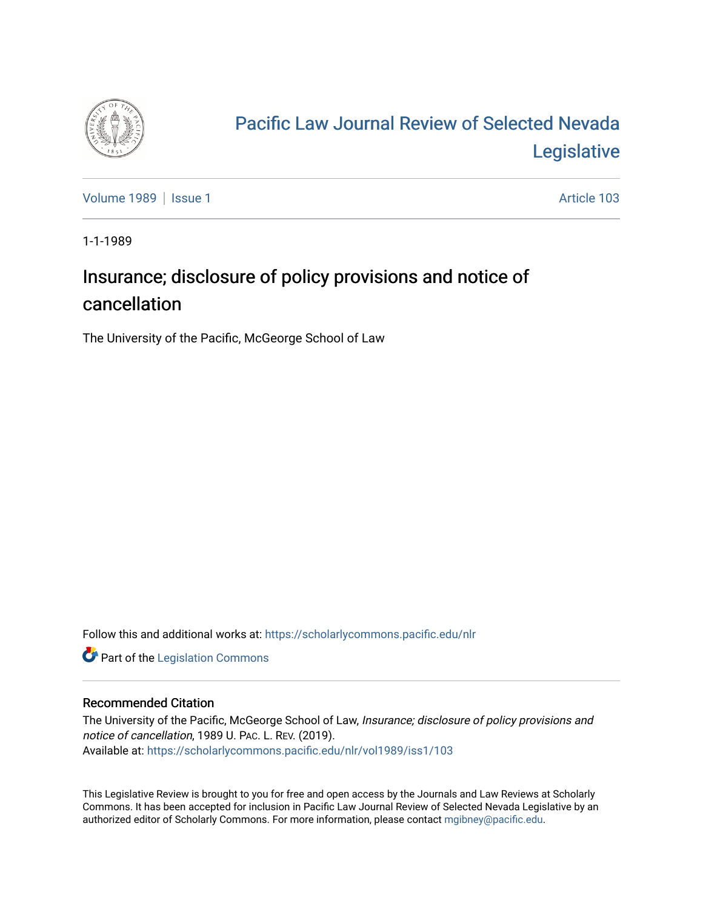

# [Pacific Law Journal Review of Selected Nevada](https://scholarlycommons.pacific.edu/nlr)  [Legislative](https://scholarlycommons.pacific.edu/nlr)

[Volume 1989](https://scholarlycommons.pacific.edu/nlr/vol1989) | [Issue 1](https://scholarlycommons.pacific.edu/nlr/vol1989/iss1) Article 103

1-1-1989

## Insurance; disclosure of policy provisions and notice of cancellation

The University of the Pacific, McGeorge School of Law

Follow this and additional works at: [https://scholarlycommons.pacific.edu/nlr](https://scholarlycommons.pacific.edu/nlr?utm_source=scholarlycommons.pacific.edu%2Fnlr%2Fvol1989%2Fiss1%2F103&utm_medium=PDF&utm_campaign=PDFCoverPages) 

**Part of the [Legislation Commons](http://network.bepress.com/hgg/discipline/859?utm_source=scholarlycommons.pacific.edu%2Fnlr%2Fvol1989%2Fiss1%2F103&utm_medium=PDF&utm_campaign=PDFCoverPages)** 

#### Recommended Citation

The University of the Pacific, McGeorge School of Law, Insurance; disclosure of policy provisions and notice of cancellation, 1989 U. PAC. L. REV. (2019). Available at: [https://scholarlycommons.pacific.edu/nlr/vol1989/iss1/103](https://scholarlycommons.pacific.edu/nlr/vol1989/iss1/103?utm_source=scholarlycommons.pacific.edu%2Fnlr%2Fvol1989%2Fiss1%2F103&utm_medium=PDF&utm_campaign=PDFCoverPages) 

This Legislative Review is brought to you for free and open access by the Journals and Law Reviews at Scholarly Commons. It has been accepted for inclusion in Pacific Law Journal Review of Selected Nevada Legislative by an authorized editor of Scholarly Commons. For more information, please contact [mgibney@pacific.edu](mailto:mgibney@pacific.edu).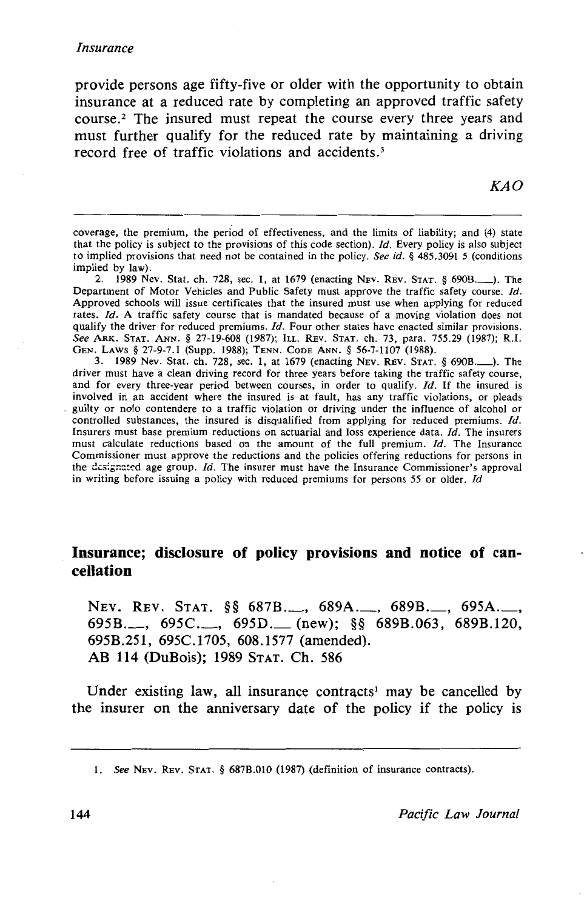provide persons age fifty-five or older with the opportunity to obtain insurance at a reduced rate by completing an approved traffic safety course.<sup>2</sup> The insured must repeat the course every three years and must further qualify for the reduced rate by maintaining a driving record free of traffic violations and accidents.<sup>3</sup>

KAO

2. 1989 Nev. Stat. ch. 728, sec. I, at 1679 (enacting NEv. REv. STAT. § 6908.\_). The Department of Motor Vehicles and Public Safety must approve the traffic safety course. */d.*  Approved schools will issue certificates that the insured must use when applying for reduced rates.  $Id$ . A traffic safety course that is mandated because of a moving violation does not qualify the driver for reduced premiums. *!d.* Four other states have enacted similar provisions. *See* ARK. STAT. ANN. § 27-19-608 (1987); ILL. REv. STAT. ch. 73, para. 755.29 (1987); R.I. GEN. LAWS§ 27-9-7.1 (Supp. 1988); TENN. CODE ANN. § 56-7-1107 (1988).

3. 1989 Nev. Stat. ch. 728, sec. 1, at 1679 (enacting NEv. REv. STAT. § 6908.\_). The driver must have a clean driving record for three years before taking the traffic safety course, and for every three-year period between courses, in order to qualify. *Id*. If the insured is involved in an accident where the insured is at fault, has any traffic violations, or pleads guilty or nolo contendere to a traffic violation or driving under the influence of alcohol or controlled substances, the insured is disqualified from applying for reduced premiums. */d.*  Insurers must base premium reductions on actuarial and loss experience data. */d.* The insurers must calculate reductions based on the amount of the full premium. *!d.* The Insurance Commissioner must approve the reductions and the policies offering reductions for persons in the designated age group. *Id*. The insurer must have the Insurance Commissioner's approval in writing before issuing a policy with reduced premiums for persons *55* or older. *Id* 

### **Insurance; disclosure of policy provisions and notice of cancellation**

NEV. REV. STAT. §§ 687B..., 689A..., 689B..., 695A..., 695B.\_, 695C.\_, 695D.\_ (new); §§ 689B.063, 689B.120, 695B.251, 695C.1705, 608.1577 (amended). AB 114 (DuBois); 1989 STAT. Ch. 586

Under existing law, all insurance contracts<sup>1</sup> may be cancelled by the insurer on the anniversary date of the policy if the policy is

coverage, the premium, the period of effectiveness, and the limits of liability; and (4) state that the policy is subject to the provisions of this code section). */d.* Every policy is also subject to implied provisions that need not be contained in the policy. *See id.* § 485.3091 *5* (conditions implied by law).

<sup>1.</sup> *See* NEv. REv. STAT. § 6878.010 (1987) (definition of insurance contracts).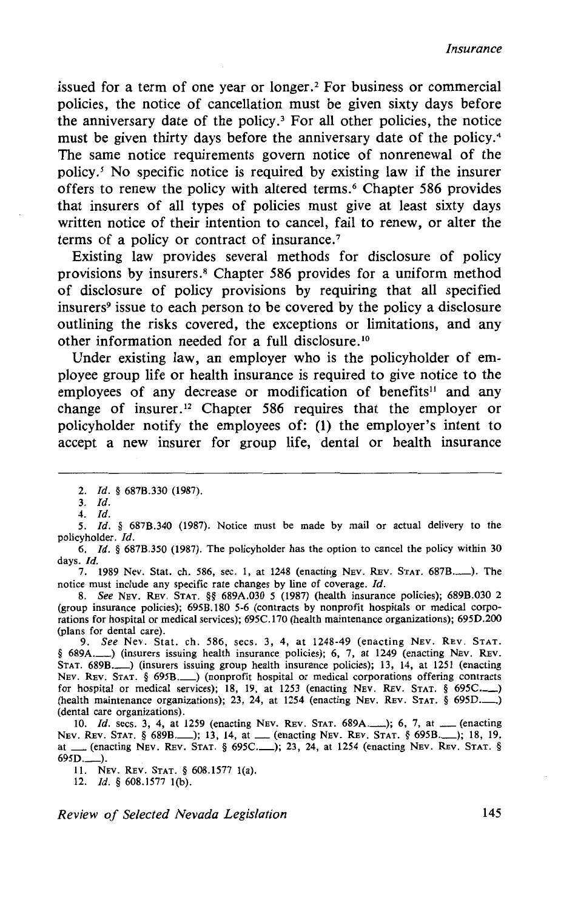issued for a term of one year or longer.<sup>2</sup> For business or commercial policies, the notice of cancellation must be given sixty days before the anniversary date of the policy. 3 For all other policies, the notice must be given thirty days before the anniversary date of the policy.<sup>4</sup> The same notice requirements govern notice of nonrenewal of the policy. 5 No specific notice is required by existing law if the insurer offers to renew the policy with altered terms.<sup>6</sup> Chapter 586 provides that insurers of all types of policies must give at least sixty days written notice of their intention to cancel, fail to renew, or alter the terms of a policy or contract of insurance.<sup>7</sup>

Existing law provides several methods for disclosure of policy provisions by insurers. 8 Chapter 586 provides for a uniform method of disclosure of policy provisions by requiring that all specified insurers9 issue to each person to be covered by the policy a disclosure outlining the risks covered, the exceptions or limitations, and any other information needed for a full disclosure. <sup>10</sup>

Under existing law, an employer who is the policyholder of employee group life or health insurance is required to give notice to the employees of any decrease or modification of benefits<sup>11</sup> and any change of insurer.<sup>12</sup> Chapter 586 requires that the employer or policyholder notify the employees of: (1) the employer's intent to accept a new insurer for group life, dental or health insurance

3. *ld.*  4. *!d.* 

5. *!d.* § 687B.340 (1987). Notice must be made by mail or actual delivery to the policyholder. *!d.* 

6. *Id.* § 687B.350 (1987). The policyholder has the option to cancel the policy within 30 days. *Id.* 

7. 1989 Nev. Stat. ch. 586, sec. 1, at 1248 (enacting NEv. REv. STAT. 687B.\_). The notice must include any specific rate changes by line of coverage. *ld.* 

8. See NEv. REv. STAT. §§ 689A.030 5 (1987) (health insurance policies); 689B.030 2 (group insurance policies); 695B.180 5-6 (contracts by nonprofit hospitals or medical corporations for hospital or medical services); 695C.170 (health maintenance organizations); 6950.200 (plans for dental care).

9. See Nev. Stat. ch. 586, sees. 3, 4, at 1248-49 (enacting NEv. REv. STAT. § 689A.\_\_) (insurers issuing health insurance policies); 6, 7, at 1249 (enacting Nev. Rev. STAT. 689B. (insurers issuing group health insurance policies); 13, 14, at 1251 (enacting NEV. REv. STAT. § 695B.\_) (nonprofit hospital or medical corporations offering contracts for hospital or medical services); 18, 19, at 1253 (enacting NEV. REV. STAT. § 695C............) (health maintenance organizations); 23, 24, at 1254 (enacting NEv. REv. STAT. § 6950.\_) (dental care organizations).

10. *!d.* sees. 3, 4, at 1259 (enacting NEV. REv. STAT. 689A.\_); 6, 7, at \_ (enacting NEV. REv. STAT. § 689B.\_); 13, 14, at\_ (enacting NEV. REv. STAT. § 695B.\_); 18, 19, NEV. REV. STAT. § 689B.\_\_\_); 13, 14, at \_\_\_ (enacting NEV. REV. STAT. § 695B.\_\_\_); 18, 19, Nat \_\_\_ (enacting NEv. REv. STAT. §  $695D$ .

11. NEv. REv. STAT. § 608.1577 1(a).

12. *ld.* § 608.1577 1(b).

*Review of Selected Nevada Legislation* 145

<sup>2.</sup> *Id.* § 687B.330 (1987).